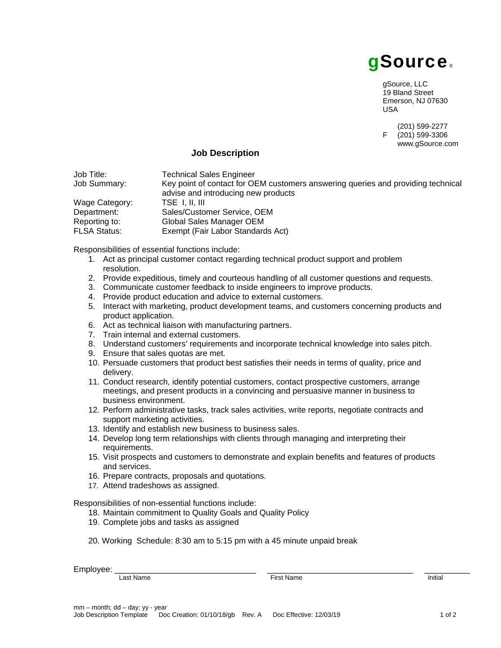

gSource, LLC 19 Bland Street Emerson, NJ 07630 USA

 $(201)$  599-2277<br>F  $(201)$  599-3306  $(201)$  599-3306 www.gSource.com

## **Job Description**

| Job Title:     | <b>Technical Sales Engineer</b>                                                                                         |
|----------------|-------------------------------------------------------------------------------------------------------------------------|
| Job Summary:   | Key point of contact for OEM customers answering queries and providing technical<br>advise and introducing new products |
|                |                                                                                                                         |
| Wage Category: | TSE I.II.III                                                                                                            |
| Department:    | Sales/Customer Service, OEM                                                                                             |
| Reporting to:  | Global Sales Manager OEM                                                                                                |
| FLSA Status:   | Exempt (Fair Labor Standards Act)                                                                                       |
|                |                                                                                                                         |

Responsibilities of essential functions include:

- 1. Act as principal customer contact regarding technical product support and problem resolution.
- 2. Provide expeditious, timely and courteous handling of all customer questions and requests.
- 3. Communicate customer feedback to inside engineers to improve products.
- 4. Provide product education and advice to external customers.
- 5. Interact with marketing, product development teams, and customers concerning products and product application.
- 6. Act as technical liaison with manufacturing partners.
- 7. Train internal and external customers.
- 8. Understand customers' requirements and incorporate technical knowledge into sales pitch.
- 9. Ensure that sales quotas are met.
- 10. Persuade customers that product best satisfies their needs in terms of quality, price and delivery.
- 11. Conduct research, identify potential customers, contact prospective customers, arrange meetings, and present products in a convincing and persuasive manner in business to business environment.
- 12. Perform administrative tasks, track sales activities, write reports, negotiate contracts and support marketing activities.
- 13. Identify and establish new business to business sales.
- 14. Develop long term relationships with clients through managing and interpreting their requirements.
- 15. Visit prospects and customers to demonstrate and explain benefits and features of products and services.
- 16. Prepare contracts, proposals and quotations.
- 17. Attend tradeshows as assigned.

Responsibilities of non-essential functions include:

- 18. Maintain commitment to Quality Goals and Quality Policy
- 19. Complete jobs and tasks as assigned
- 20. Working Schedule: 8:30 am to 5:15 pm with a 45 minute unpaid break

Employee: \_\_\_\_\_\_\_\_\_\_\_\_\_\_\_\_\_\_\_\_\_\_\_\_\_\_\_\_\_\_\_ \_\_\_\_\_\_\_\_\_\_\_\_\_\_\_\_\_\_\_\_\_\_\_\_\_\_\_\_\_\_\_\_ \_\_\_\_\_\_\_\_\_\_

Last Name **Initial**